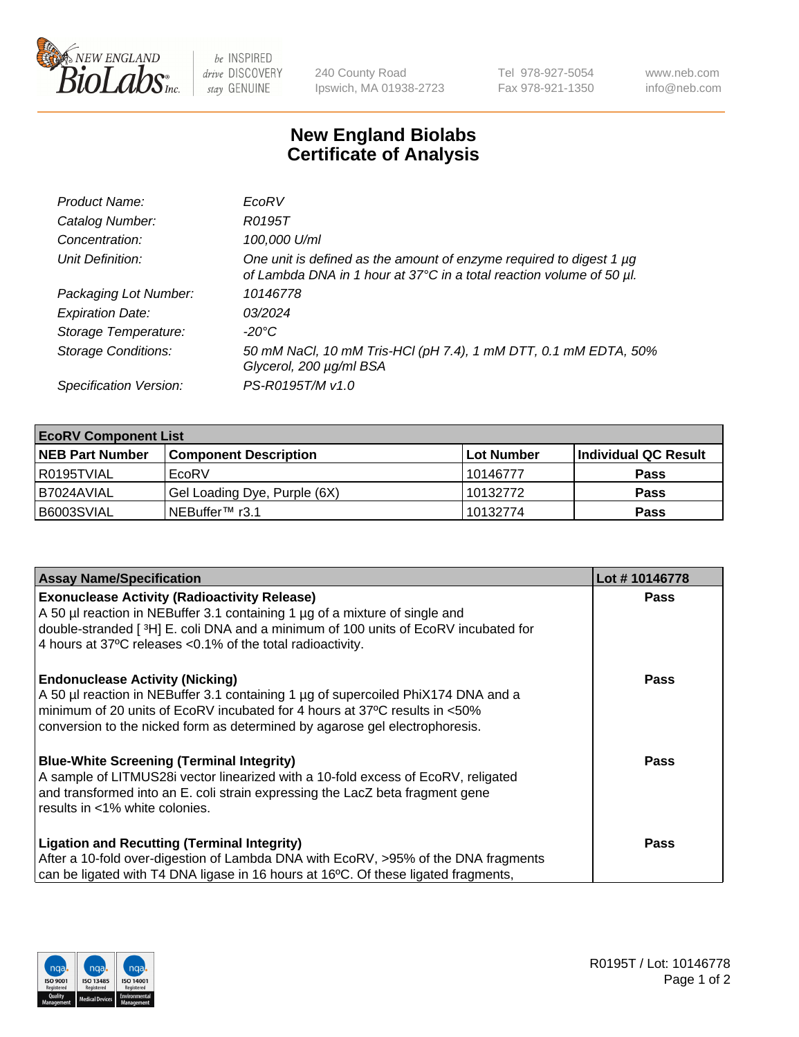

 $be$  INSPIRED drive DISCOVERY stay GENUINE

240 County Road Ipswich, MA 01938-2723 Tel 978-927-5054 Fax 978-921-1350 www.neb.com info@neb.com

## **New England Biolabs Certificate of Analysis**

| Product Name:              | EcoRV                                                                                                                                       |
|----------------------------|---------------------------------------------------------------------------------------------------------------------------------------------|
| Catalog Number:            | R0195T                                                                                                                                      |
| Concentration:             | 100,000 U/ml                                                                                                                                |
| Unit Definition:           | One unit is defined as the amount of enzyme required to digest 1 µg<br>of Lambda DNA in 1 hour at 37°C in a total reaction volume of 50 µl. |
| Packaging Lot Number:      | 10146778                                                                                                                                    |
| <b>Expiration Date:</b>    | 0.3/2024                                                                                                                                    |
| Storage Temperature:       | $-20^{\circ}$ C                                                                                                                             |
| <b>Storage Conditions:</b> | 50 mM NaCl, 10 mM Tris-HCl (pH 7.4), 1 mM DTT, 0.1 mM EDTA, 50%<br>Glycerol, 200 µg/ml BSA                                                  |
| Specification Version:     | PS-R0195T/M v1.0                                                                                                                            |

| <b>EcoRV Component List</b> |                              |            |                      |  |  |
|-----------------------------|------------------------------|------------|----------------------|--|--|
| <b>NEB Part Number</b>      | <b>Component Description</b> | Lot Number | Individual QC Result |  |  |
| l R0195TVIAL                | EcoRV                        | 10146777   | <b>Pass</b>          |  |  |
| I B7024AVIAL                | Gel Loading Dye, Purple (6X) | 10132772   | <b>Pass</b>          |  |  |
| B6003SVIAL                  | INEBuffer™ r3.1              | 10132774   | <b>Pass</b>          |  |  |

| <b>Assay Name/Specification</b>                                                                                                                                                                                                                                                          | Lot #10146778 |
|------------------------------------------------------------------------------------------------------------------------------------------------------------------------------------------------------------------------------------------------------------------------------------------|---------------|
| <b>Exonuclease Activity (Radioactivity Release)</b><br>A 50 µl reaction in NEBuffer 3.1 containing 1 µg of a mixture of single and                                                                                                                                                       | <b>Pass</b>   |
| double-stranded [3H] E. coli DNA and a minimum of 100 units of EcoRV incubated for<br>4 hours at 37°C releases < 0.1% of the total radioactivity.                                                                                                                                        |               |
| <b>Endonuclease Activity (Nicking)</b><br>A 50 µl reaction in NEBuffer 3.1 containing 1 µg of supercoiled PhiX174 DNA and a<br>minimum of 20 units of EcoRV incubated for 4 hours at 37°C results in <50%<br>conversion to the nicked form as determined by agarose gel electrophoresis. | <b>Pass</b>   |
| <b>Blue-White Screening (Terminal Integrity)</b><br>A sample of LITMUS28i vector linearized with a 10-fold excess of EcoRV, religated<br>and transformed into an E. coli strain expressing the LacZ beta fragment gene<br>results in <1% white colonies.                                 | Pass          |
| <b>Ligation and Recutting (Terminal Integrity)</b><br>After a 10-fold over-digestion of Lambda DNA with EcoRV, >95% of the DNA fragments                                                                                                                                                 | <b>Pass</b>   |
| can be ligated with T4 DNA ligase in 16 hours at 16°C. Of these ligated fragments,                                                                                                                                                                                                       |               |